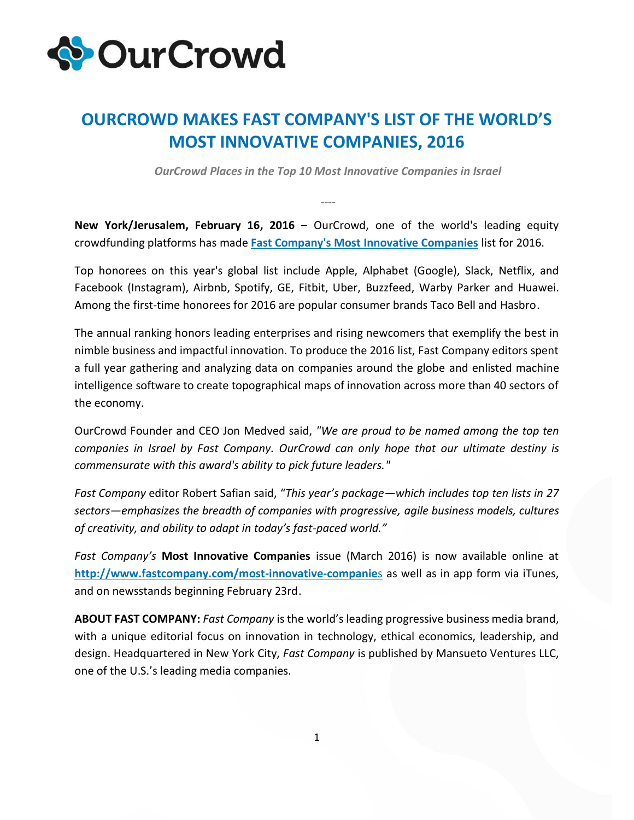

## **OURCROWD MAKES FAST COMPANY'S LIST OF THE WORLD'S MOST INNOVATIVE COMPANIES, 2016**

*OurCrowd Places in the Top 10 Most Innovative Companies in Israel*

**----**

**New York/Jerusalem, February 16, 2016** – OurCrowd, one of the world's leading equity crowdfunding platforms has made **Fast Company's [Most Innovative Companies](http://www.fastcompany.com/most-innovative-companies/sectors/israel)** list for 2016.

Top honorees on this year's global list include Apple, Alphabet (Google), Slack, Netflix, and Facebook (Instagram), Airbnb, Spotify, GE, Fitbit, Uber, Buzzfeed, Warby Parker and Huawei. Among the first-time honorees for 2016 are popular consumer brands Taco Bell and Hasbro.

The annual ranking honors leading enterprises and rising newcomers that exemplify the best in nimble business and impactful innovation. To produce the 2016 list, Fast Company editors spent a full year gathering and analyzing data on companies around the globe and enlisted machine intelligence software to create topographical maps of innovation across more than 40 sectors of the economy.

OurCrowd Founder and CEO Jon Medved said, *"We are proud to be named among the top ten companies in Israel by Fast Company. OurCrowd can only hope that our ultimate destiny is commensurate with this award's ability to pick future leaders."*

*Fast Company* editor Robert Safian said, "*This year's package—which includes top ten lists in 27 sectors—emphasizes the breadth of companies with progressive, agile business models, cultures of creativity, and ability to adapt in today's fast-paced world."* 

*Fast Company's* **Most Innovative Companies** issue (March 2016) is now available online at **[http://www.fastcompany.com/most-innovative-companie](http://www.fastcompany.com/most-innovative-companies)**s as well as in app form via iTunes, and on newsstands beginning February 23rd.

**ABOUT FAST COMPANY:** *Fast Company* is the world's leading progressive business media brand, with a unique editorial focus on innovation in technology, ethical economics, leadership, and design. Headquartered in New York City, *Fast Company* is published by Mansueto Ventures LLC, one of the U.S.'s leading media companies.